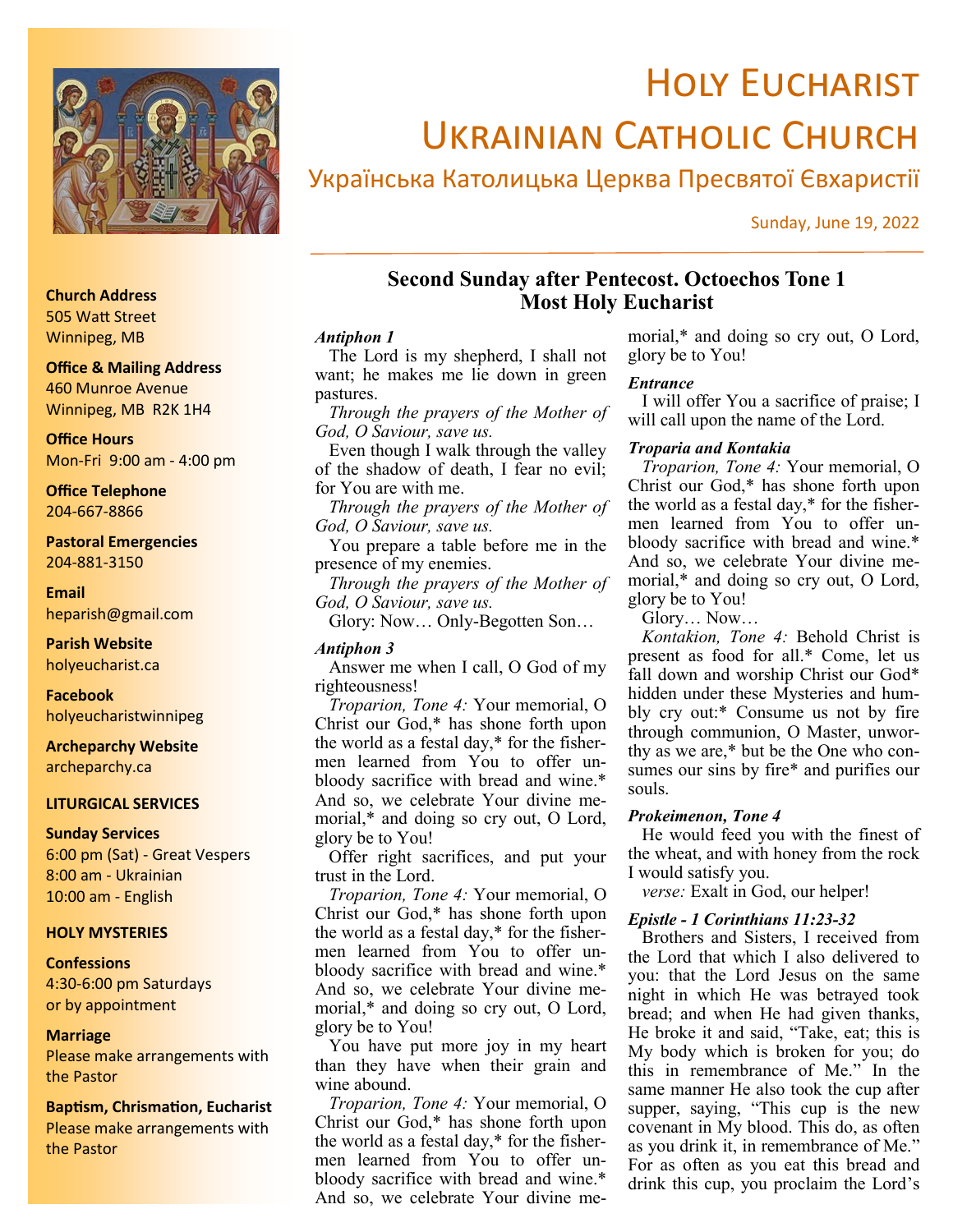

# **HOLY EUCHARIST** Ukrainian Catholic Church

## Українська Католицька Церква Пресвятої Євхаристії

Sunday, June 19, 2022

## **Second Sunday after Pentecost. Octoechos Tone 1 Most Holy Eucharist**

## *Antiphon 1*

The Lord is my shepherd, I shall not want; he makes me lie down in green pastures.

*Through the prayers of the Mother of God, O Saviour, save us.*

Even though I walk through the valley of the shadow of death, I fear no evil; for You are with me.

*Through the prayers of the Mother of God, O Saviour, save us.*

You prepare a table before me in the presence of my enemies.

*Through the prayers of the Mother of God, O Saviour, save us.*

Glory: Now… Only-Begotten Son…

## *Antiphon 3*

Answer me when I call, O God of my righteousness!

*Troparion, Tone 4:* Your memorial, O Christ our God,\* has shone forth upon the world as a festal day,\* for the fishermen learned from You to offer unbloody sacrifice with bread and wine.\* And so, we celebrate Your divine memorial,\* and doing so cry out, O Lord, glory be to You!

Offer right sacrifices, and put your trust in the Lord.

*Troparion, Tone 4:* Your memorial, O Christ our God,\* has shone forth upon the world as a festal day,\* for the fishermen learned from You to offer unbloody sacrifice with bread and wine.\* And so, we celebrate Your divine memorial,\* and doing so cry out, O Lord, glory be to You!

You have put more joy in my heart than they have when their grain and wine abound.

*Troparion, Tone 4:* Your memorial, O Christ our God,\* has shone forth upon the world as a festal day,\* for the fishermen learned from You to offer unbloody sacrifice with bread and wine.\* And so, we celebrate Your divine me-

morial,\* and doing so cry out, O Lord, glory be to You!

## *Entrance*

I will offer You a sacrifice of praise; I will call upon the name of the Lord.

## *Troparia and Kontakia*

*Troparion, Tone 4:* Your memorial, O Christ our God,\* has shone forth upon the world as a festal day,\* for the fishermen learned from You to offer unbloody sacrifice with bread and wine.\* And so, we celebrate Your divine memorial,\* and doing so cry out, O Lord, glory be to You!

Glory… Now…

*Kontakion, Tone 4:* Behold Christ is present as food for all.\* Come, let us fall down and worship Christ our God\* hidden under these Mysteries and humbly cry out:\* Consume us not by fire through communion, O Master, unworthy as we are,\* but be the One who consumes our sins by fire\* and purifies our souls.

## *Prokeimenon, Tone 4*

He would feed you with the finest of the wheat, and with honey from the rock I would satisfy you.

*verse:* Exalt in God, our helper!

## *Epistle - 1 Corinthians 11:23-32*

Brothers and Sisters, I received from the Lord that which I also delivered to you: that the Lord Jesus on the same night in which He was betrayed took bread; and when He had given thanks, He broke it and said, "Take, eat; this is My body which is broken for you; do this in remembrance of Me." In the same manner He also took the cup after supper, saying, "This cup is the new covenant in My blood. This do, as often as you drink it, in remembrance of Me." For as often as you eat this bread and drink this cup, you proclaim the Lord's

## **Church Address** 505 Watt Street Winnipeg, MB

## **Office & Mailing Address**

460 Munroe Avenue Winnipeg, MB R2K 1H4

**Office Hours** Mon-Fri 9:00 am - 4:00 pm

**Office Telephone** 204-667-8866

**Pastoral Emergencies** 204-881-3150

**Email** heparish@gmail.com

**Parish Website** holyeucharist.ca

**Facebook** holyeucharistwinnipeg

**Archeparchy Website** archeparchy.ca

## **LITURGICAL SERVICES**

**Sunday Services** 6:00 pm (Sat) - Great Vespers 8:00 am - Ukrainian 10:00 am - English

## **HOLY MYSTERIES**

#### **Confessions**

4:30-6:00 pm Saturdays or by appointment

#### **Marriage**

Please make arrangements with the Pastor

**Baptism, Chrismation, Eucharist** Please make arrangements with the Pastor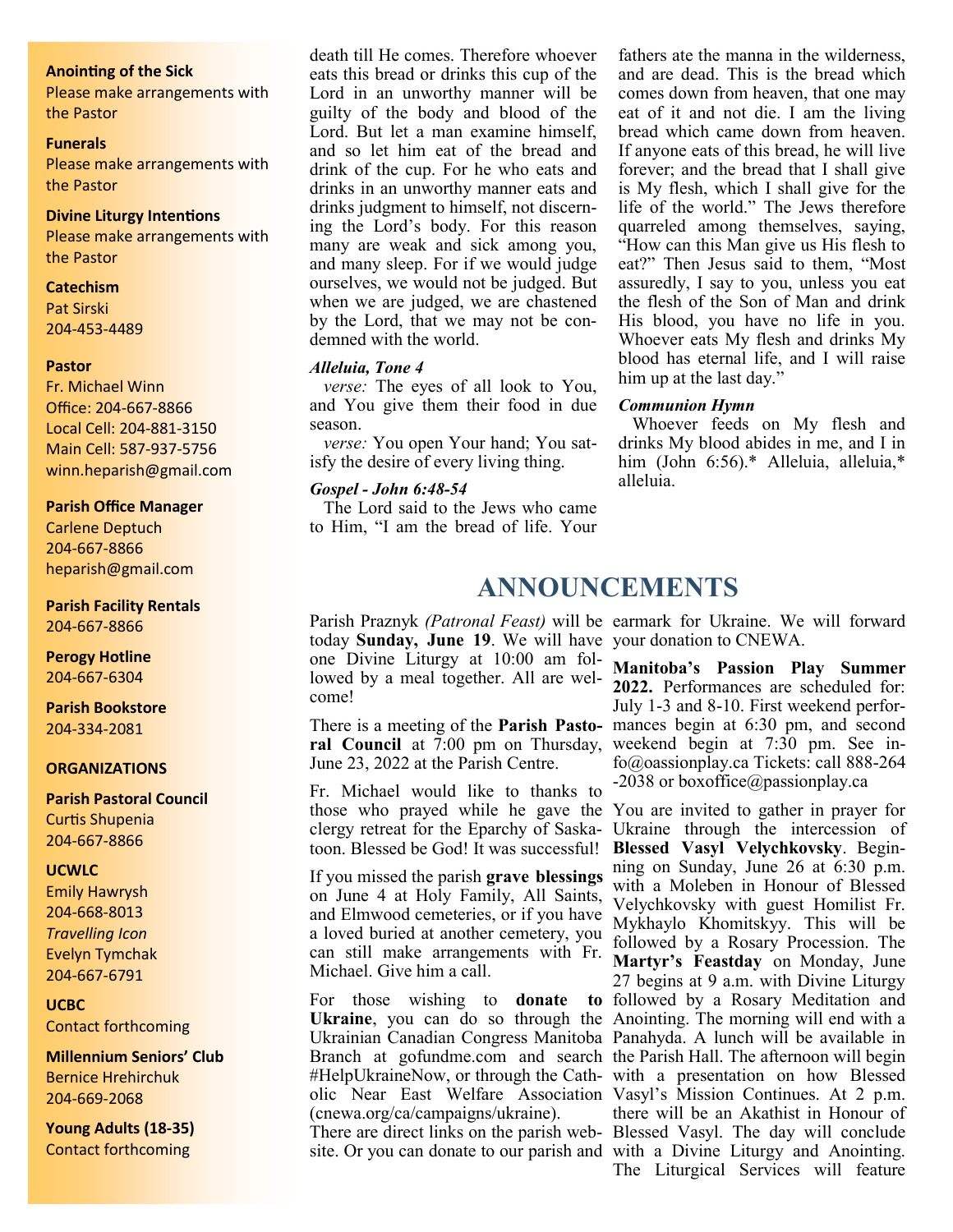#### **Anointing of the Sick**

Please make arrangements with the Pastor

#### **Funerals**

Please make arrangements with the Pastor

## **Divine Liturgy Intentions**

Please make arrangements with the Pastor

#### **Catechism**

Pat Sirski 204-453-4489

#### **Pastor**

Fr. Michael Winn Office: 204-667-8866 Local Cell: 204-881-3150 Main Cell: 587-937-5756 winn.heparish@gmail.com

#### **Parish Office Manager**

Carlene Deptuch 204-667-8866 heparish@gmail.com

## **Parish Facility Rentals**

204-667-8866

#### **Perogy Hotline** 204-667-6304

**Parish Bookstore** 204-334-2081

#### **ORGANIZATIONS**

## **Parish Pastoral Council**

Curtis Shupenia 204-667-8866

## **UCWLC**

Emily Hawrysh 204-668-8013 *Travelling Icon* Evelyn Tymchak 204-667-6791

#### **UCBC**

Contact forthcoming

**Millennium Seniors' Club** Bernice Hrehirchuk 204-669-2068

**Young Adults (18-35)** Contact forthcoming

death till He comes. Therefore whoever eats this bread or drinks this cup of the Lord in an unworthy manner will be guilty of the body and blood of the Lord. But let a man examine himself, and so let him eat of the bread and drink of the cup. For he who eats and drinks in an unworthy manner eats and drinks judgment to himself, not discerning the Lord's body. For this reason many are weak and sick among you, and many sleep. For if we would judge ourselves, we would not be judged. But when we are judged, we are chastened by the Lord, that we may not be condemned with the world.

## *Alleluia, Tone 4*

*verse:* The eyes of all look to You, and You give them their food in due season.

*verse:* You open Your hand; You satisfy the desire of every living thing.

## *Gospel - John 6:48-54*

The Lord said to the Jews who came to Him, "I am the bread of life. Your

fathers ate the manna in the wilderness, and are dead. This is the bread which comes down from heaven, that one may eat of it and not die. I am the living bread which came down from heaven. If anyone eats of this bread, he will live forever; and the bread that I shall give is My flesh, which I shall give for the life of the world." The Jews therefore quarreled among themselves, saying, "How can this Man give us His flesh to eat?" Then Jesus said to them, "Most assuredly, I say to you, unless you eat the flesh of the Son of Man and drink His blood, you have no life in you. Whoever eats My flesh and drinks My blood has eternal life, and I will raise him up at the last day."

#### *Communion Hymn*

Whoever feeds on My flesh and drinks My blood abides in me, and I in him (John 6:56).\* Alleluia, alleluia,\* alleluia.

## **ANNOUNCEMENTS**

today **Sunday, June 19**. We will have your donation to CNEWA. one Divine Liturgy at 10:00 am followed by a meal together. All are welcome!

June 23, 2022 at the Parish Centre.

Fr. Michael would like to thanks to those who prayed while he gave the You are invited to gather in prayer for clergy retreat for the Eparchy of Saskatoon. Blessed be God! It was successful! **Blessed Vasyl Velychkovsky**. Begin-

If you missed the parish **grave blessings**  on June 4 at Holy Family, All Saints, and Elmwood cemeteries, or if you have a loved buried at another cemetery, you can still make arrangements with Fr. Michael. Give him a call.

**Ukraine**, you can do so through the Anointing. The morning will end with a Ukrainian Canadian Congress Manitoba Panahyda. A lunch will be available in Branch at gofundme.com and search the Parish Hall. The afternoon will begin #HelpUkraineNow, or through the Cath-with a presentation on how Blessed olic Near East Welfare Association Vasyl's Mission Continues. At 2 p.m. (cnewa.org/ca/campaigns/ukraine).

Parish Praznyk *(Patronal Feast)* will be earmark for Ukraine. We will forward

There is a meeting of the **Parish Pasto-**mances begin at 6:30 pm, and second **ral Council** at 7:00 pm on Thursday, weekend begin at 7:30 pm. See in-**Manitoba's Passion Play Summer 2022.** Performances are scheduled for: July 1-3 and 8-10. First weekend perforfo@oassionplay.ca Tickets: call 888-264 -2038 or boxoffice@passionplay.ca

For those wishing to **donate to**  followed by a Rosary Meditation and There are direct links on the parish web-Blessed Vasyl. The day will conclude site. Or you can donate to our parish and with a Divine Liturgy and Anointing. Ukraine through the intercession of ning on Sunday, June 26 at 6:30 p.m. with a Moleben in Honour of Blessed Velychkovsky with guest Homilist Fr. Mykhaylo Khomitskyy. This will be followed by a Rosary Procession. The **Martyr's Feastday** on Monday, June 27 begins at 9 a.m. with Divine Liturgy there will be an Akathist in Honour of The Liturgical Services will feature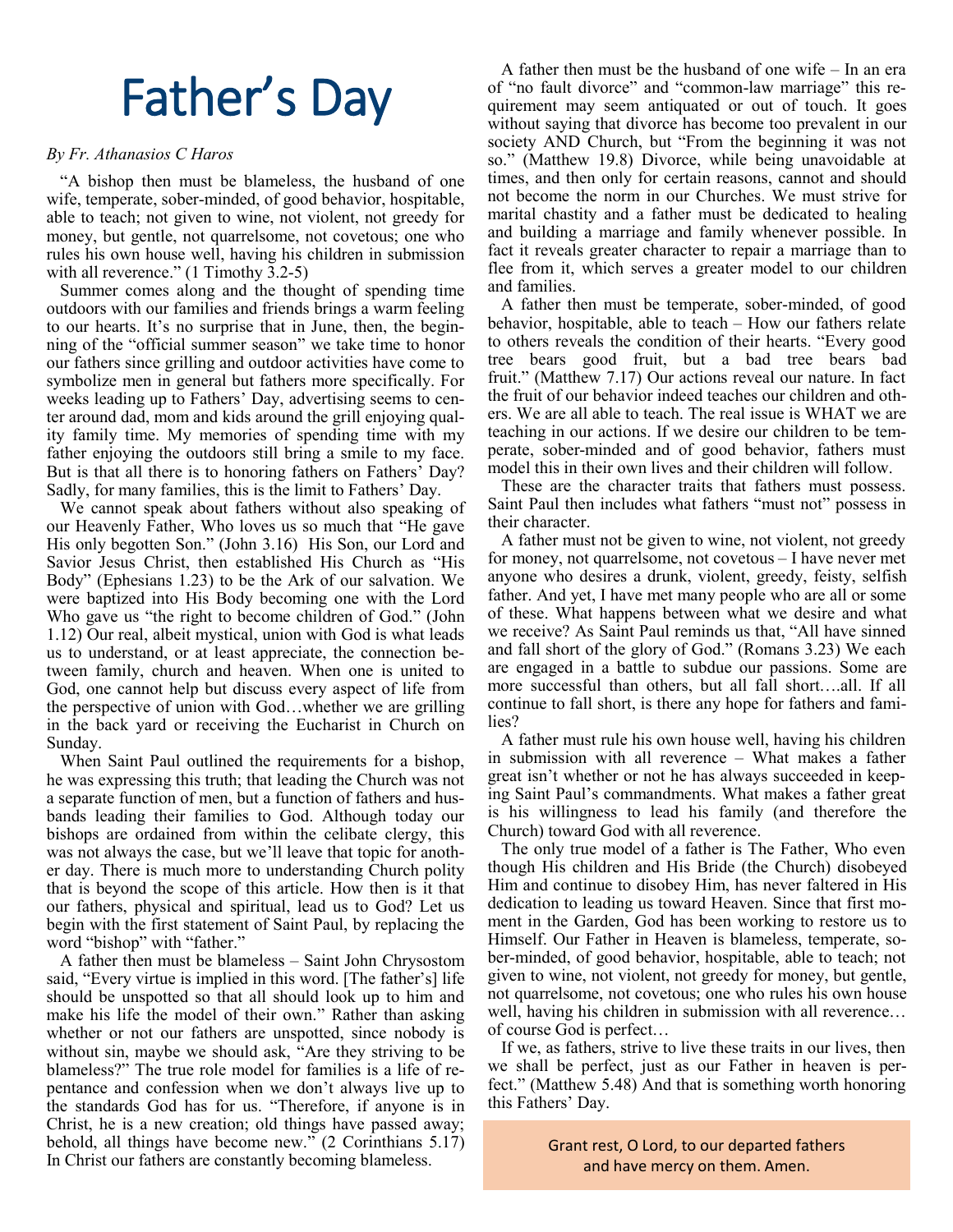# Father's Day

## *By Fr. Athanasios C Haros*

"A bishop then must be blameless, the husband of one wife, temperate, sober-minded, of good behavior, hospitable, able to teach; not given to wine, not violent, not greedy for money, but gentle, not quarrelsome, not covetous; one who rules his own house well, having his children in submission with all reverence." (1 Timothy 3.2-5)

Summer comes along and the thought of spending time outdoors with our families and friends brings a warm feeling to our hearts. It's no surprise that in June, then, the beginning of the "official summer season" we take time to honor our fathers since grilling and outdoor activities have come to symbolize men in general but fathers more specifically. For weeks leading up to Fathers' Day, advertising seems to center around dad, mom and kids around the grill enjoying quality family time. My memories of spending time with my father enjoying the outdoors still bring a smile to my face. But is that all there is to honoring fathers on Fathers' Day? Sadly, for many families, this is the limit to Fathers' Day.

We cannot speak about fathers without also speaking of our Heavenly Father, Who loves us so much that "He gave His only begotten Son." (John 3.16) His Son, our Lord and Savior Jesus Christ, then established His Church as "His Body" (Ephesians 1.23) to be the Ark of our salvation. We were baptized into His Body becoming one with the Lord Who gave us "the right to become children of God." (John 1.12) Our real, albeit mystical, union with God is what leads us to understand, or at least appreciate, the connection between family, church and heaven. When one is united to God, one cannot help but discuss every aspect of life from the perspective of union with God…whether we are grilling in the back yard or receiving the Eucharist in Church on Sunday.

When Saint Paul outlined the requirements for a bishop, he was expressing this truth; that leading the Church was not a separate function of men, but a function of fathers and husbands leading their families to God. Although today our bishops are ordained from within the celibate clergy, this was not always the case, but we'll leave that topic for another day. There is much more to understanding Church polity that is beyond the scope of this article. How then is it that our fathers, physical and spiritual, lead us to God? Let us begin with the first statement of Saint Paul, by replacing the word "bishop" with "father."

A father then must be blameless – Saint John Chrysostom said, "Every virtue is implied in this word. [The father's] life should be unspotted so that all should look up to him and make his life the model of their own." Rather than asking whether or not our fathers are unspotted, since nobody is without sin, maybe we should ask, "Are they striving to be blameless?" The true role model for families is a life of repentance and confession when we don't always live up to the standards God has for us. "Therefore, if anyone is in Christ, he is a new creation; old things have passed away; behold, all things have become new." (2 Corinthians 5.17) In Christ our fathers are constantly becoming blameless.

A father then must be the husband of one wife – In an era of "no fault divorce" and "common-law marriage" this requirement may seem antiquated or out of touch. It goes without saying that divorce has become too prevalent in our society AND Church, but "From the beginning it was not so." (Matthew 19.8) Divorce, while being unavoidable at times, and then only for certain reasons, cannot and should not become the norm in our Churches. We must strive for marital chastity and a father must be dedicated to healing and building a marriage and family whenever possible. In fact it reveals greater character to repair a marriage than to flee from it, which serves a greater model to our children and families.

A father then must be temperate, sober-minded, of good behavior, hospitable, able to teach – How our fathers relate to others reveals the condition of their hearts. "Every good tree bears good fruit, but a bad tree bears bad fruit." (Matthew 7.17) Our actions reveal our nature. In fact the fruit of our behavior indeed teaches our children and others. We are all able to teach. The real issue is WHAT we are teaching in our actions. If we desire our children to be temperate, sober-minded and of good behavior, fathers must model this in their own lives and their children will follow.

These are the character traits that fathers must possess. Saint Paul then includes what fathers "must not" possess in their character.

A father must not be given to wine, not violent, not greedy for money, not quarrelsome, not covetous – I have never met anyone who desires a drunk, violent, greedy, feisty, selfish father. And yet, I have met many people who are all or some of these. What happens between what we desire and what we receive? As Saint Paul reminds us that, "All have sinned and fall short of the glory of God." (Romans 3.23) We each are engaged in a battle to subdue our passions. Some are more successful than others, but all fall short….all. If all continue to fall short, is there any hope for fathers and families?

A father must rule his own house well, having his children in submission with all reverence – What makes a father great isn't whether or not he has always succeeded in keeping Saint Paul's commandments. What makes a father great is his willingness to lead his family (and therefore the Church) toward God with all reverence.

The only true model of a father is The Father, Who even though His children and His Bride (the Church) disobeyed Him and continue to disobey Him, has never faltered in His dedication to leading us toward Heaven. Since that first moment in the Garden, God has been working to restore us to Himself. Our Father in Heaven is blameless, temperate, sober-minded, of good behavior, hospitable, able to teach; not given to wine, not violent, not greedy for money, but gentle, not quarrelsome, not covetous; one who rules his own house well, having his children in submission with all reverence… of course God is perfect…

If we, as fathers, strive to live these traits in our lives, then we shall be perfect, just as our Father in heaven is perfect." (Matthew 5.48) And that is something worth honoring this Fathers' Day.

> Grant rest, O Lord, to our departed fathers and have mercy on them. Amen.